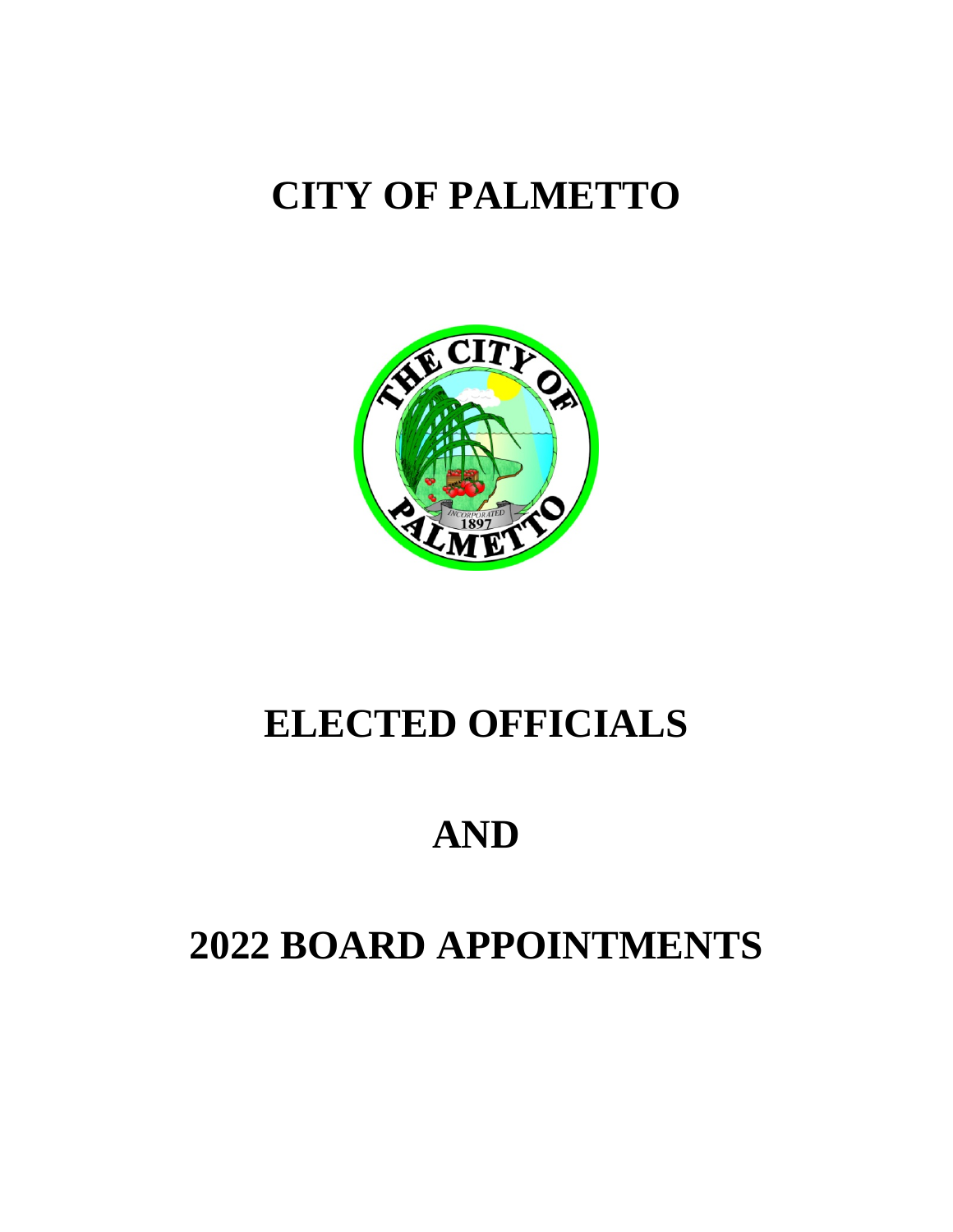# **CITY OF PALMETTO**



# **ELECTED OFFICIALS**

# **AND**

# **2022 BOARD APPOINTMENTS**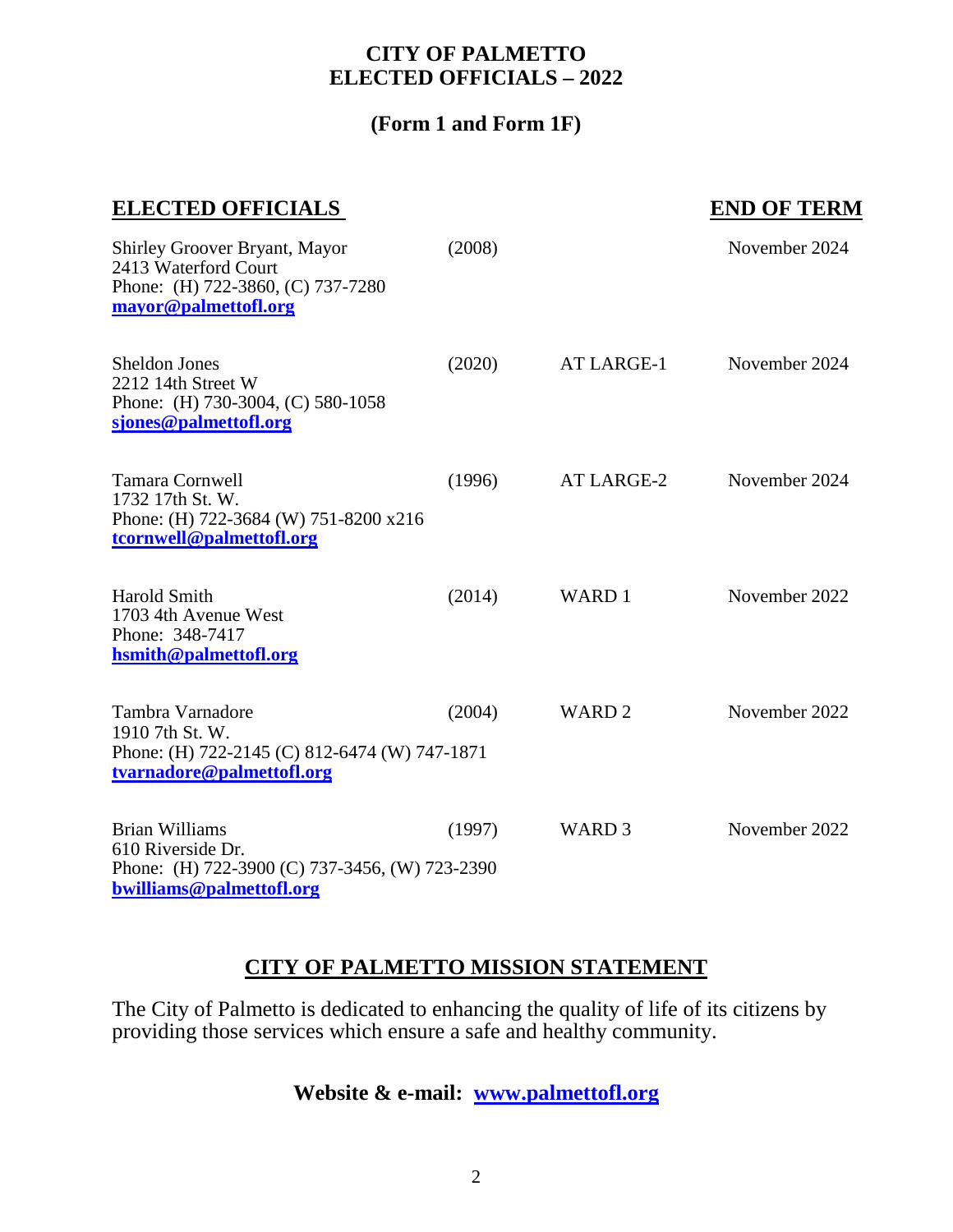#### **CITY OF PALMETTO ELECTED OFFICIALS – 2022**

#### **(Form 1 and Form 1F)**

#### **ELECTED OFFICIALS** END OF TERM

| Shirley Groover Bryant, Mayor<br>2413 Waterford Court<br>Phone: (H) 722-3860, (C) 737-7280<br>mayor@palmettofl.org       | (2008) |                   | November 2024 |
|--------------------------------------------------------------------------------------------------------------------------|--------|-------------------|---------------|
| <b>Sheldon Jones</b><br>2212 14th Street W<br>Phone: (H) 730-3004, (C) 580-1058<br>sjones@palmettofl.org                 | (2020) | AT LARGE-1        | November 2024 |
| <b>Tamara Cornwell</b><br>1732 17th St. W.<br>Phone: (H) 722-3684 (W) 751-8200 x216<br>tcornwell@palmettofl.org          | (1996) | AT LARGE-2        | November 2024 |
| <b>Harold Smith</b><br>1703 4th Avenue West<br>Phone: 348-7417<br>hsmith@palmettofl.org                                  | (2014) | WARD 1            | November 2022 |
| Tambra Varnadore<br>1910 7th St. W.<br>Phone: (H) 722-2145 (C) 812-6474 (W) 747-1871<br>tvarnadore@palmettofl.org        | (2004) | WARD <sub>2</sub> | November 2022 |
| <b>Brian Williams</b><br>610 Riverside Dr.<br>Phone: (H) 722-3900 (C) 737-3456, (W) 723-2390<br>bwilliams@palmettofl.org | (1997) | WARD <sub>3</sub> | November 2022 |

#### **CITY OF PALMETTO MISSION STATEMENT**

The City of Palmetto is dedicated to enhancing the quality of life of its citizens by providing those services which ensure a safe and healthy community.

#### **Website & e-mail: [www.palmettofl.org](http://www.palmettofl.org/)**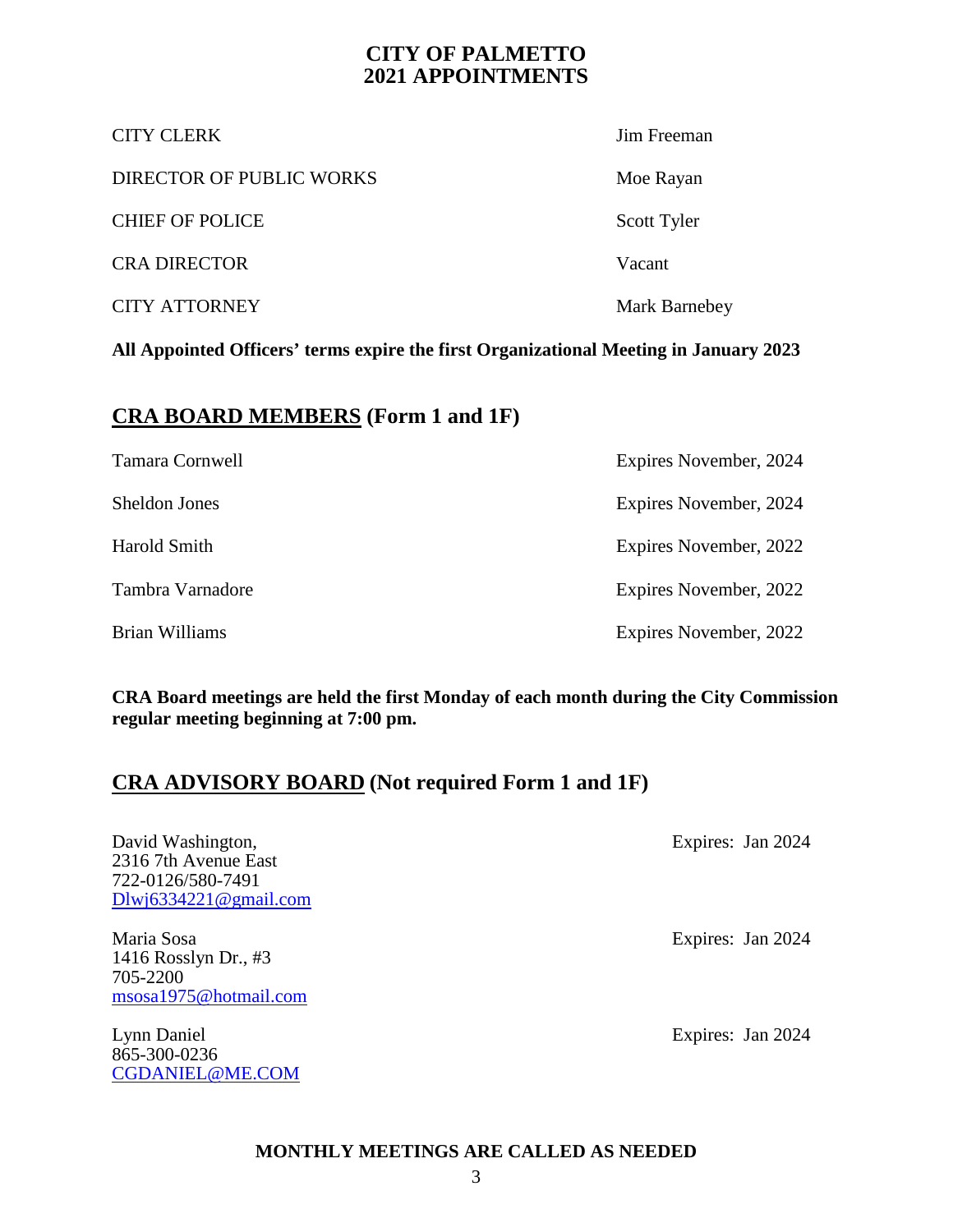#### **CITY OF PALMETTO 2021 APPOINTMENTS**

| <b>CITY CLERK</b>        | Jim Freeman   |
|--------------------------|---------------|
| DIRECTOR OF PUBLIC WORKS | Moe Rayan     |
| <b>CHIEF OF POLICE</b>   | Scott Tyler   |
| <b>CRA DIRECTOR</b>      | Vacant        |
| <b>CITY ATTORNEY</b>     | Mark Barnebey |

**All Appointed Officers' terms expire the first Organizational Meeting in January 2023**

#### **CRA BOARD MEMBERS (Form 1 and 1F)**

| Tamara Cornwell  | Expires November, 2024 |
|------------------|------------------------|
| Sheldon Jones    | Expires November, 2024 |
| Harold Smith     | Expires November, 2022 |
| Tambra Varnadore | Expires November, 2022 |
| Brian Williams   | Expires November, 2022 |

**CRA Board meetings are held the first Monday of each month during the City Commission regular meeting beginning at 7:00 pm.**

#### **CRA ADVISORY BOARD (Not required Form 1 and 1F)**

| David Washington,            | Expires: Jan 2024 |
|------------------------------|-------------------|
| 2316 7th Avenue East         |                   |
| 722-0126/580-7491            |                   |
| $Dlw$ in 6334221 @ gmail.com |                   |
| Maria Sosa                   | Expires: Jan 2024 |
| 1416 Rosslyn Dr., #3         |                   |
| 705-2200                     |                   |
| msosa1975@hotmail.com        |                   |
| Lynn Daniel                  | Expires: Jan 2024 |
| 865-300-0236                 |                   |
| <b>CGDANIEL@ME.COM</b>       |                   |
|                              |                   |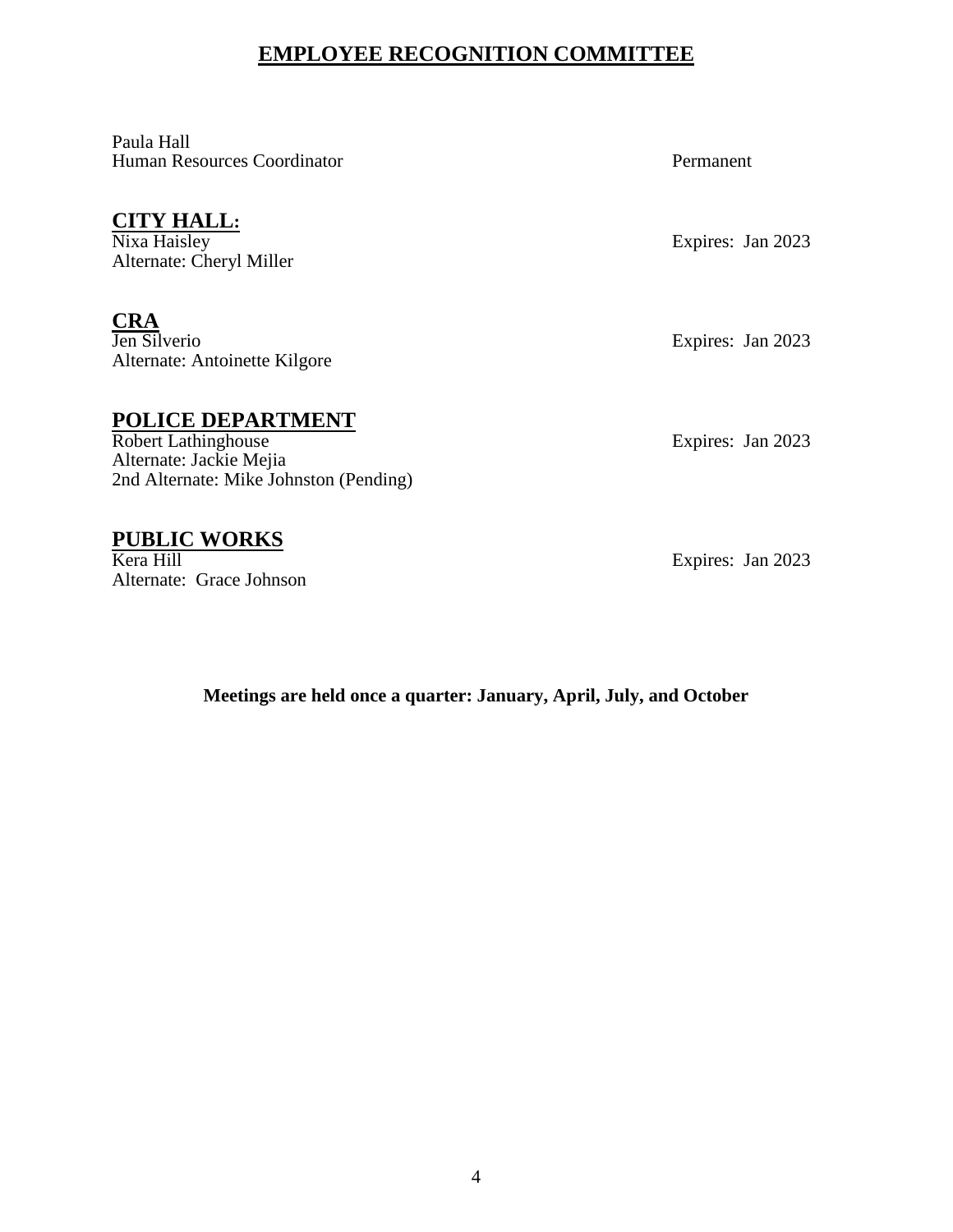#### **EMPLOYEE RECOGNITION COMMITTEE**

Paula Hall Human Resources Coordinator **Permanent** 

## **CITY HALL:**<br>Nixa Haisley

Alternate: Cheryl Miller

**CRA**<br>Jen Silverio Alternate: Antoinette Kilgore

#### **POLICE DEPARTMENT**

Robert Lathinghouse Expires: Jan 2023 Alternate: Jackie Mejia 2nd Alternate: Mike Johnston (Pending)

#### **PUBLIC WORKS**

Kera Hill Expires: Jan 2023 Alternate: Grace Johnson

Expires: Jan 2023

Expires: Jan 2023

**Meetings are held once a quarter: January, April, July, and October**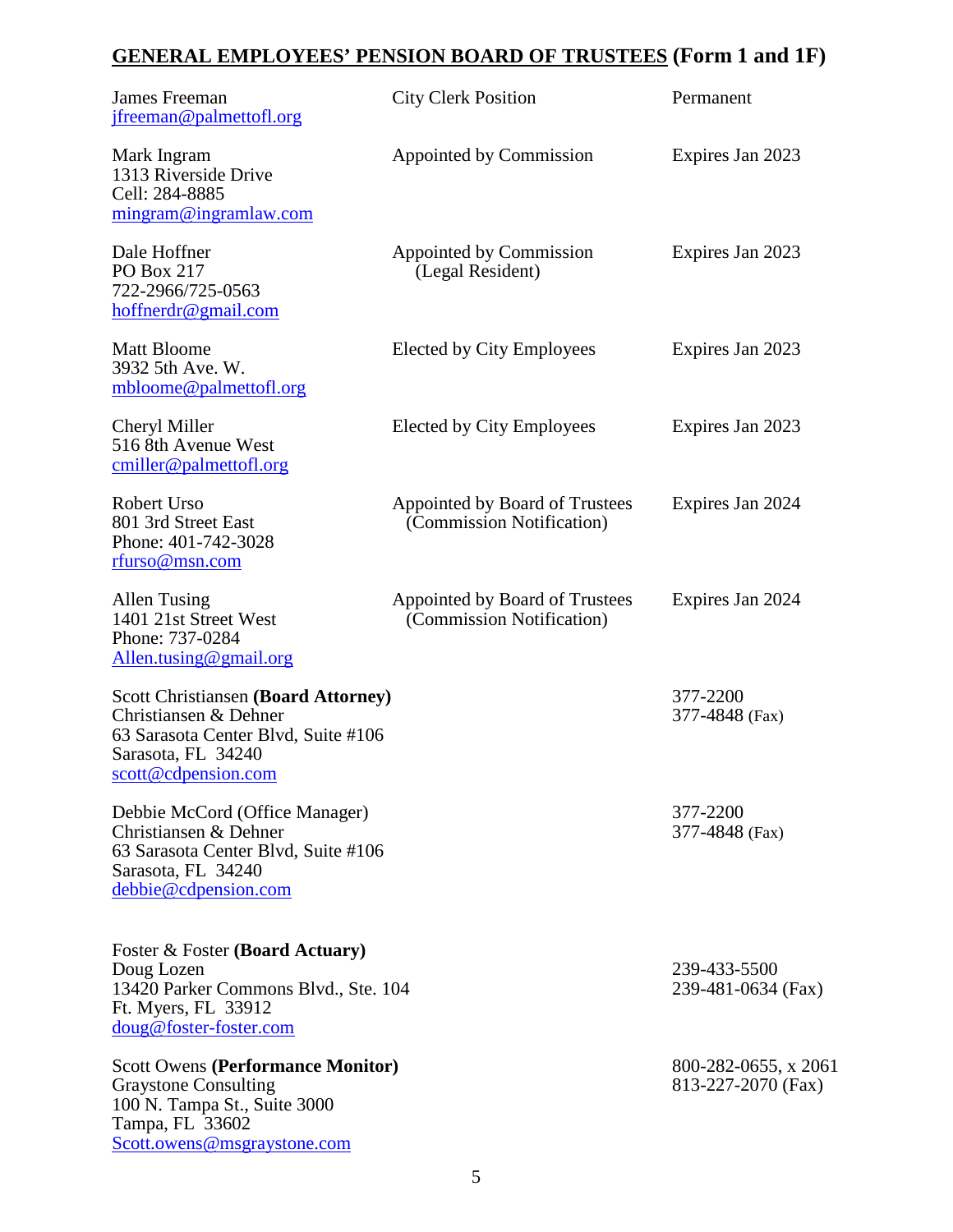## **GENERAL EMPLOYEES' PENSION BOARD OF TRUSTEES (Form 1 and 1F)**

| James Freeman<br>jfreeman@palmettofl.org                                                                                                                  | <b>City Clerk Position</b>                                  | Permanent                                  |
|-----------------------------------------------------------------------------------------------------------------------------------------------------------|-------------------------------------------------------------|--------------------------------------------|
| Mark Ingram<br>1313 Riverside Drive<br>Cell: 284-8885<br>mingram@ingramlaw.com                                                                            | Appointed by Commission                                     | Expires Jan 2023                           |
| Dale Hoffner<br>PO Box 217<br>722-2966/725-0563<br>hoffnerdr@gmail.com                                                                                    | Appointed by Commission<br>(Legal Resident)                 | Expires Jan 2023                           |
| <b>Matt Bloome</b><br>3932 5th Ave. W.<br>mbloome@palmettofl.org                                                                                          | Elected by City Employees                                   | Expires Jan 2023                           |
| Cheryl Miller<br>516 8th Avenue West<br>cmiller@palmettofl.org                                                                                            | Elected by City Employees                                   | Expires Jan 2023                           |
| Robert Urso<br>801 3rd Street East<br>Phone: 401-742-3028<br>rfurso@msn.com                                                                               | Appointed by Board of Trustees<br>(Commission Notification) | Expires Jan 2024                           |
| Allen Tusing<br>1401 21st Street West<br>Phone: 737-0284<br>Allen.tusing@gmail.org                                                                        | Appointed by Board of Trustees<br>(Commission Notification) | Expires Jan 2024                           |
| <b>Scott Christiansen (Board Attorney)</b><br>Christiansen & Dehner<br>63 Sarasota Center Blvd, Suite #106<br>Sarasota, FL 34240<br>scott@cdpension.com   |                                                             | 377-2200<br>377-4848 (Fax)                 |
| Debbie McCord (Office Manager)<br>Christiansen & Dehner<br>63 Sarasota Center Blvd, Suite #106<br>Sarasota, FL 34240<br>debbie@cdpension.com              |                                                             | 377-2200<br>377-4848 (Fax)                 |
| Foster & Foster (Board Actuary)<br>Doug Lozen<br>13420 Parker Commons Blvd., Ste. 104<br>Ft. Myers, FL 33912<br>doug@foster-foster.com                    |                                                             | 239-433-5500<br>239-481-0634 (Fax)         |
| <b>Scott Owens (Performance Monitor)</b><br><b>Graystone Consulting</b><br>100 N. Tampa St., Suite 3000<br>Tampa, FL 33602<br>Scott.owens@msgraystone.com |                                                             | 800-282-0655, x 2061<br>813-227-2070 (Fax) |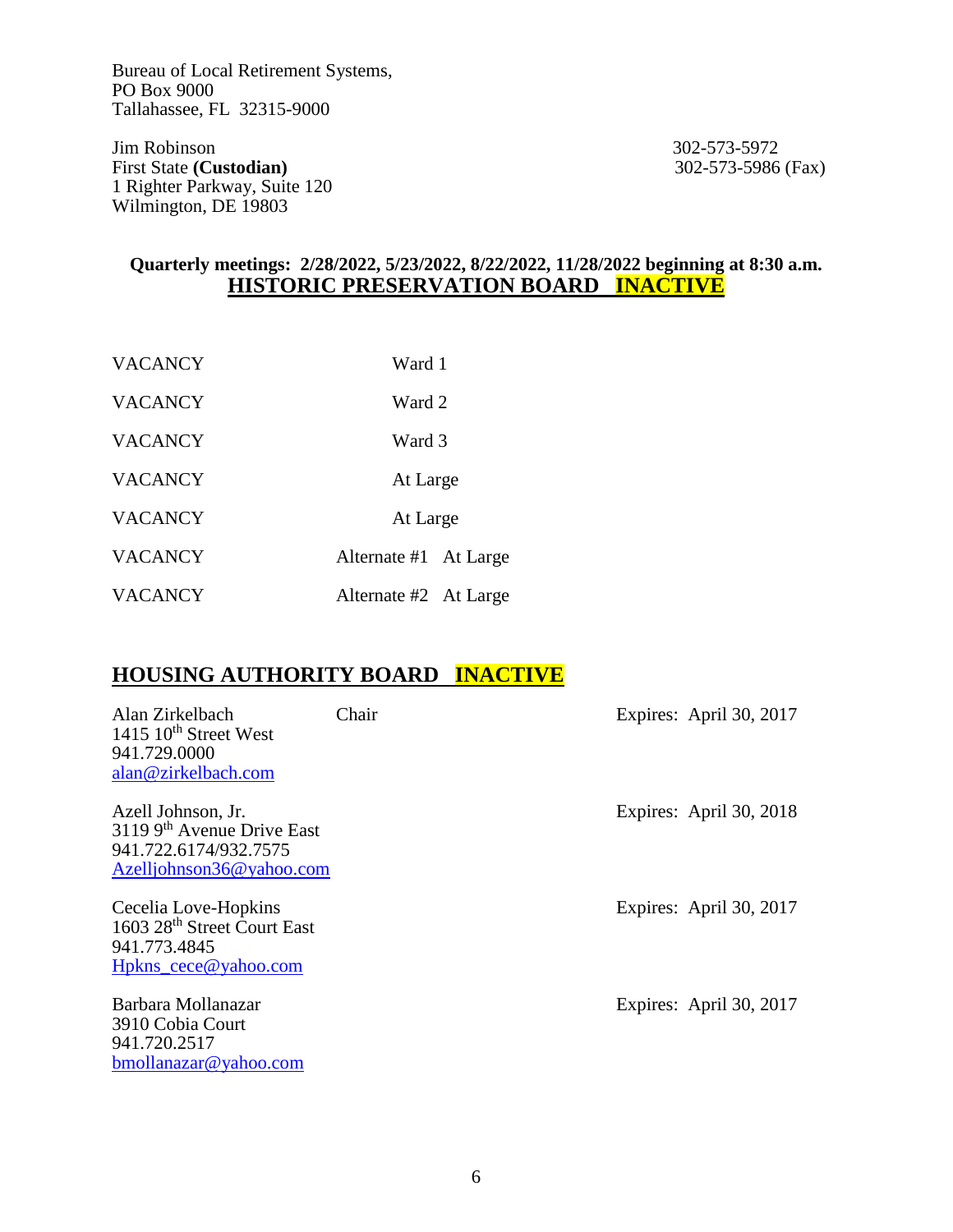Bureau of Local Retirement Systems, PO Box 9000 Tallahassee, FL 32315-9000

Jim Robinson<br>
First State (Custodian)<br>
302-573-5986 (Fax)<br>
302-573-5986 (Fax) **First State (Custodian)** 1 Righter Parkway, Suite 120 Wilmington, DE 19803

#### **Quarterly meetings: 2/28/2022, 5/23/2022, 8/22/2022, 11/28/2022 beginning at 8:30 a.m. HISTORIC PRESERVATION BOARD INACTIVE**

| <b>VACANCY</b> | Ward 1                |  |
|----------------|-----------------------|--|
| <b>VACANCY</b> | Ward 2                |  |
| <b>VACANCY</b> | Ward 3                |  |
| <b>VACANCY</b> | At Large              |  |
| <b>VACANCY</b> | At Large              |  |
| <b>VACANCY</b> | Alternate #1 At Large |  |
| <b>VACANCY</b> | Alternate #2 At Large |  |

#### **HOUSING AUTHORITY BOARD INACTIVE**

| Alan Zirkelbach<br>1415 $10^{th}$ Street West<br>941.729.0000<br>alan@zirkelbach.com                               | Chair | Expires: April 30, 2017 |
|--------------------------------------------------------------------------------------------------------------------|-------|-------------------------|
| Azell Johnson, Jr.<br>$31199$ <sup>th</sup> Avenue Drive East<br>941.722.6174/932.7575<br>Azelljohnson36@yahoo.com |       | Expires: April 30, 2018 |
| Cecelia Love-Hopkins<br>1603 28 <sup>th</sup> Street Court East<br>941.773.4845<br>Hpkns_cece@yahoo.com            |       | Expires: April 30, 2017 |
| Barbara Mollanazar<br>3910 Cobia Court<br>941.720.2517<br>bmollanazar@yahoo.com                                    |       | Expires: April 30, 2017 |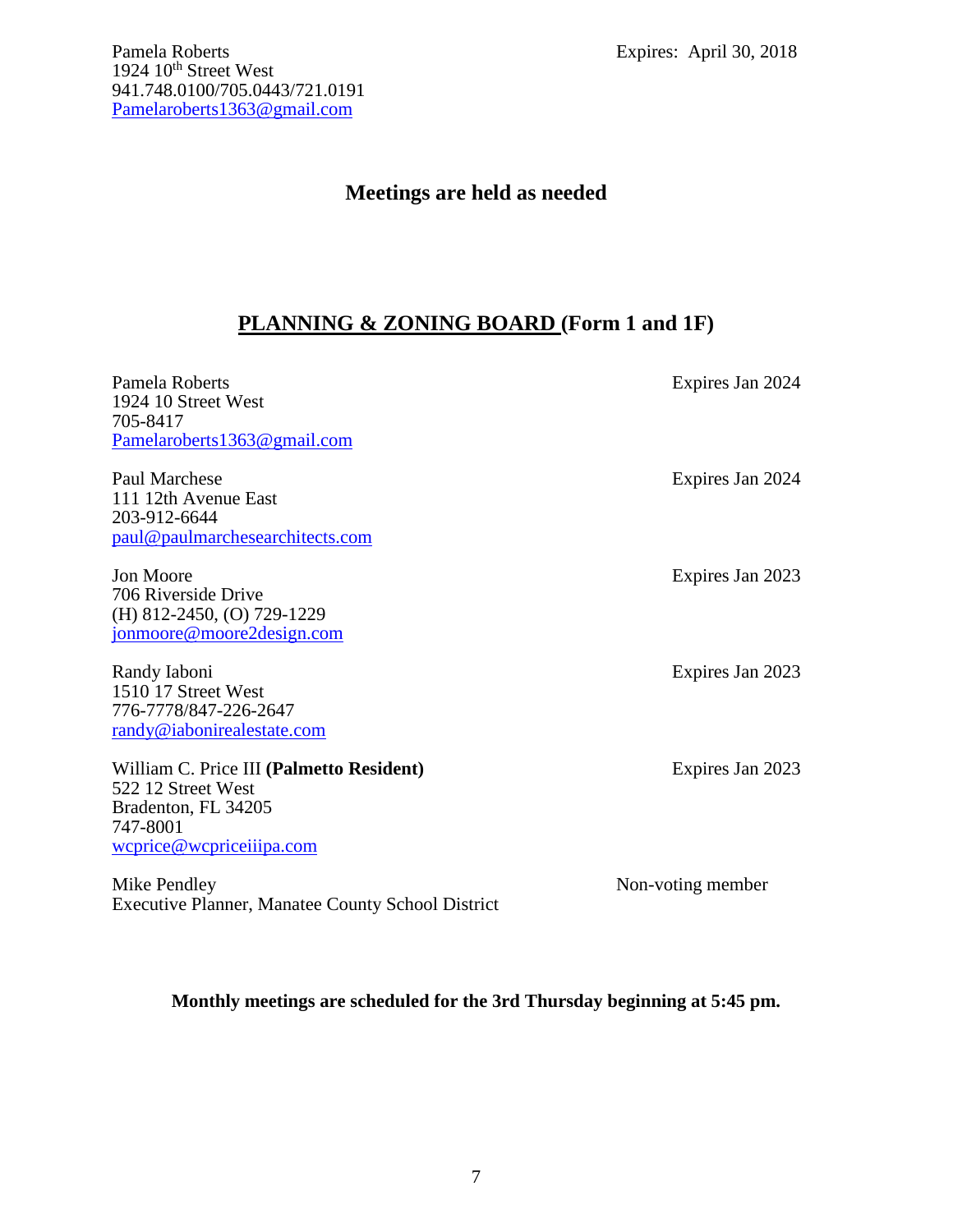#### **Meetings are held as needed**

#### **PLANNING & ZONING BOARD (Form 1 and 1F)**

| Pamela Roberts<br>1924 10 Street West<br>705-8417<br>Pamelaroberts1363@gmail.com                                              | Expires Jan 2024  |
|-------------------------------------------------------------------------------------------------------------------------------|-------------------|
| Paul Marchese<br>111 12th Avenue East<br>203-912-6644<br>paul@paulmarchesearchitects.com                                      | Expires Jan 2024  |
| Jon Moore<br>706 Riverside Drive<br>(H) 812-2450, (O) 729-1229<br>jonmoore@moore2design.com                                   | Expires Jan 2023  |
| Randy Iaboni<br>1510 17 Street West<br>776-7778/847-226-2647<br>randy@iabonirealestate.com                                    | Expires Jan 2023  |
| William C. Price III (Palmetto Resident)<br>522 12 Street West<br>Bradenton, FL 34205<br>747-8001<br>wcprice@wcpriceiiipa.com | Expires Jan 2023  |
| Mike Pendley<br><b>Executive Planner, Manatee County School District</b>                                                      | Non-voting member |

**Monthly meetings are scheduled for the 3rd Thursday beginning at 5:45 pm.**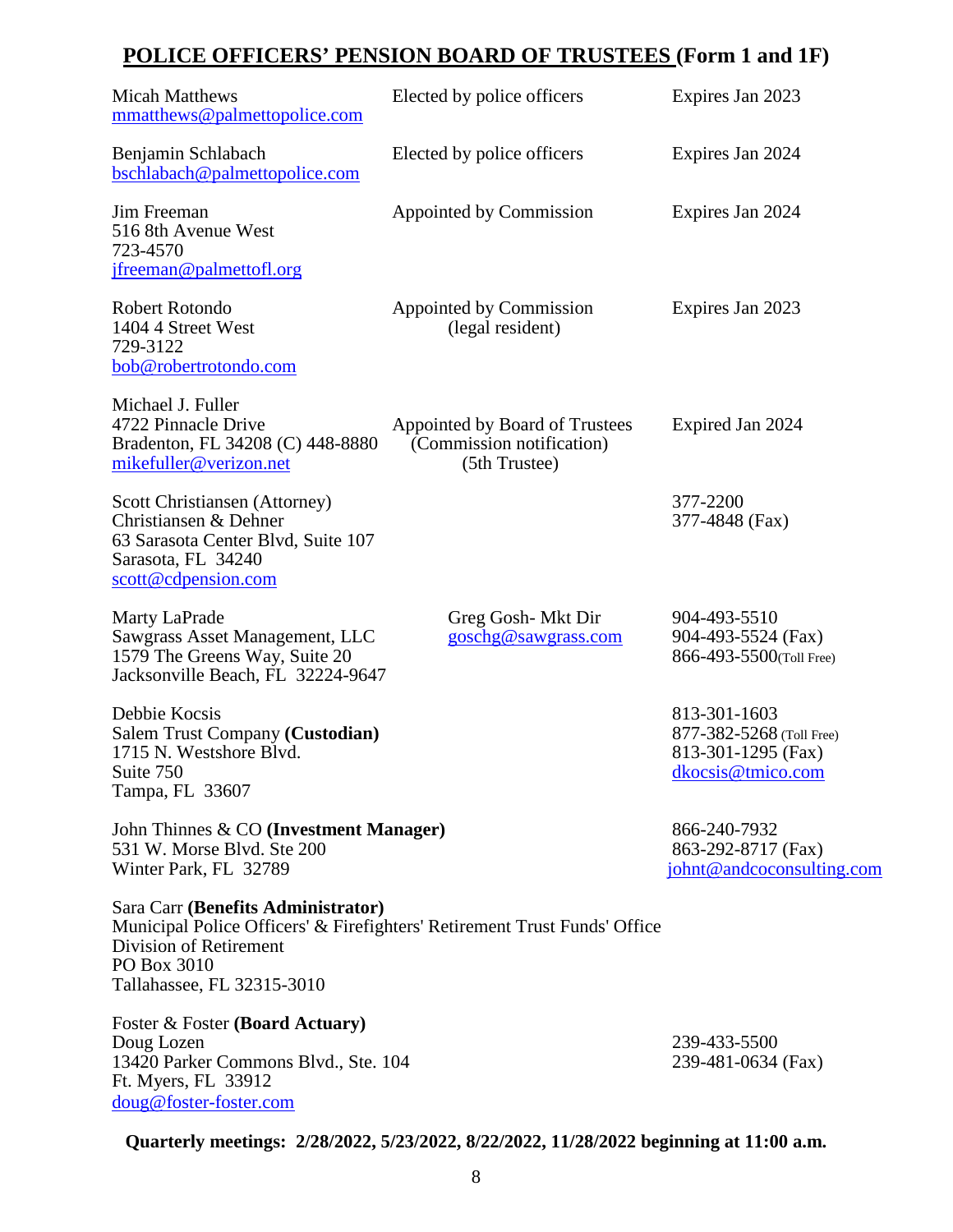## **POLICE OFFICERS' PENSION BOARD OF TRUSTEES (Form 1 and 1F)**

| <b>Micah Matthews</b><br>mmatthews@palmettopolice.com                                                                                     | Elected by police officers                                                   | Expires Jan 2023                                                                           |
|-------------------------------------------------------------------------------------------------------------------------------------------|------------------------------------------------------------------------------|--------------------------------------------------------------------------------------------|
| Benjamin Schlabach<br>bschlabach@palmettopolice.com                                                                                       | Elected by police officers                                                   | Expires Jan 2024                                                                           |
| Jim Freeman<br>516 8th Avenue West<br>723-4570<br>jfreeman@palmettofl.org                                                                 | Appointed by Commission                                                      | Expires Jan 2024                                                                           |
| Robert Rotondo<br>1404 4 Street West<br>729-3122<br>bob@robertrotondo.com                                                                 | Appointed by Commission<br>(legal resident)                                  | Expires Jan 2023                                                                           |
| Michael J. Fuller<br>4722 Pinnacle Drive<br>Bradenton, FL 34208 (C) 448-8880<br>mikefuller@verizon.net                                    | Appointed by Board of Trustees<br>(Commission notification)<br>(5th Trustee) | Expired Jan 2024                                                                           |
| Scott Christiansen (Attorney)<br>Christiansen & Dehner<br>63 Sarasota Center Blvd, Suite 107<br>Sarasota, FL 34240<br>scott@cdpension.com |                                                                              | 377-2200<br>377-4848 (Fax)                                                                 |
| Marty LaPrade<br>Sawgrass Asset Management, LLC<br>1579 The Greens Way, Suite 20<br>Jacksonville Beach, FL 32224-9647                     | Greg Gosh-Mkt Dir<br>goschg@sawgrass.com                                     | 904-493-5510<br>904-493-5524 (Fax)<br>866-493-5500(Toll Free)                              |
| Debbie Kocsis<br>Salem Trust Company (Custodian)<br>1715 N. Westshore Blvd.<br>Suite 750<br>Tampa, FL 33607                               |                                                                              | 813-301-1603<br>877-382-5268 (Toll Free)<br>813-301-1295 (Fax)<br><u>dkocsis@tmico.com</u> |
| John Thinnes & CO (Investment Manager)<br>531 W. Morse Blvd. Ste 200<br>Winter Park, FL 32789                                             |                                                                              | 866-240-7932<br>863-292-8717 (Fax)<br>johnt@andcoconsulting.com                            |
| Sara Carr (Benefits Administrator)<br>Division of Retirement<br>PO Box 3010<br>Tallahassee, FL 32315-3010                                 | Municipal Police Officers' & Firefighters' Retirement Trust Funds' Office    |                                                                                            |
| Foster & Foster (Board Actuary)<br>Doug Lozen<br>13420 Parker Commons Blvd., Ste. 104<br>Ft. Myers, FL 33912<br>doug@foster-foster.com    |                                                                              | 239-433-5500<br>239-481-0634 (Fax)                                                         |

**Quarterly meetings: 2/28/2022, 5/23/2022, 8/22/2022, 11/28/2022 beginning at 11:00 a.m.**